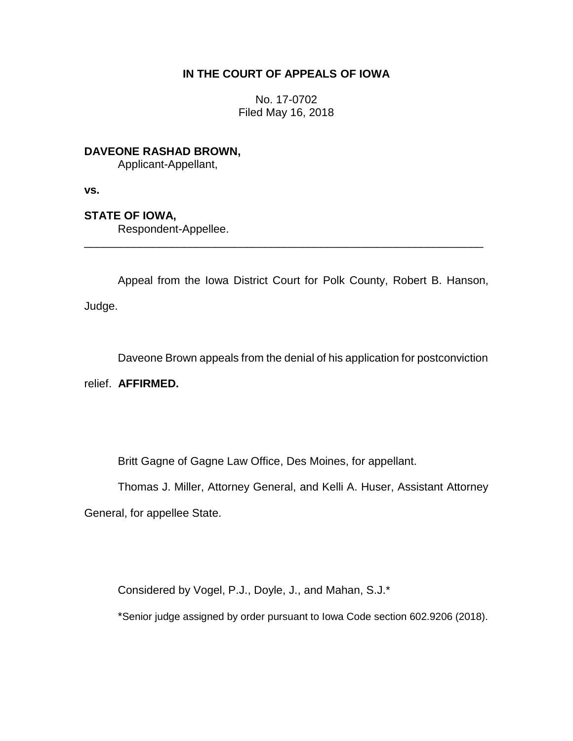## **IN THE COURT OF APPEALS OF IOWA**

No. 17-0702 Filed May 16, 2018

**DAVEONE RASHAD BROWN,** Applicant-Appellant,

**vs.**

**STATE OF IOWA,**

Respondent-Appellee.

Appeal from the Iowa District Court for Polk County, Robert B. Hanson, Judge.

\_\_\_\_\_\_\_\_\_\_\_\_\_\_\_\_\_\_\_\_\_\_\_\_\_\_\_\_\_\_\_\_\_\_\_\_\_\_\_\_\_\_\_\_\_\_\_\_\_\_\_\_\_\_\_\_\_\_\_\_\_\_\_\_

Daveone Brown appeals from the denial of his application for postconviction

relief. **AFFIRMED.**

Britt Gagne of Gagne Law Office, Des Moines, for appellant.

Thomas J. Miller, Attorney General, and Kelli A. Huser, Assistant Attorney General, for appellee State.

Considered by Vogel, P.J., Doyle, J., and Mahan, S.J.\*

\*Senior judge assigned by order pursuant to Iowa Code section 602.9206 (2018).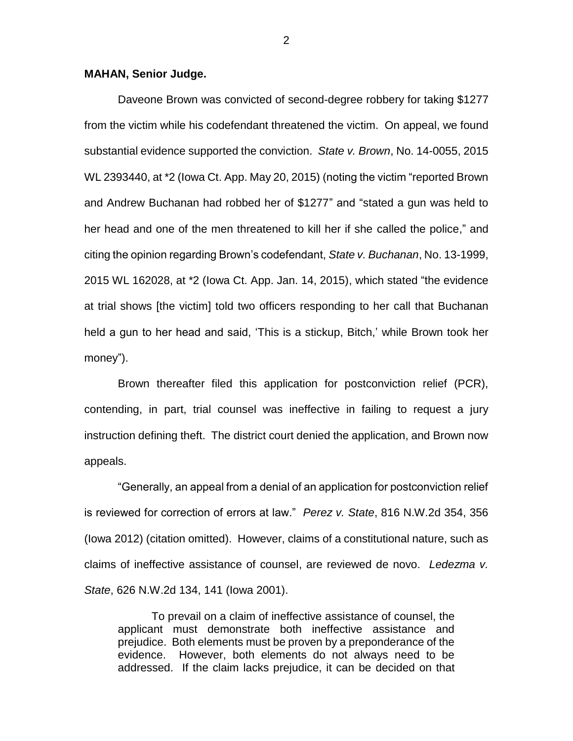## **MAHAN, Senior Judge.**

Daveone Brown was convicted of second-degree robbery for taking \$1277 from the victim while his codefendant threatened the victim. On appeal, we found substantial evidence supported the conviction. *State v. Brown*, No. 14-0055, 2015 WL 2393440, at \*2 (Iowa Ct. App. May 20, 2015) (noting the victim "reported Brown and Andrew Buchanan had robbed her of \$1277" and "stated a gun was held to her head and one of the men threatened to kill her if she called the police," and citing the opinion regarding Brown's codefendant, *State v. Buchanan*, No. 13-1999, 2015 WL 162028, at \*2 (Iowa Ct. App. Jan. 14, 2015), which stated "the evidence at trial shows [the victim] told two officers responding to her call that Buchanan held a gun to her head and said, 'This is a stickup, Bitch,' while Brown took her money").

Brown thereafter filed this application for postconviction relief (PCR), contending, in part, trial counsel was ineffective in failing to request a jury instruction defining theft. The district court denied the application, and Brown now appeals.

"Generally, an appeal from a denial of an application for postconviction relief is reviewed for correction of errors at law." *Perez v. State*, 816 N.W.2d 354, 356 (Iowa 2012) (citation omitted). However, claims of a constitutional nature, such as claims of ineffective assistance of counsel, are reviewed de novo. *Ledezma v. State*, 626 N.W.2d 134, 141 (Iowa 2001).

To prevail on a claim of ineffective assistance of counsel, the applicant must demonstrate both ineffective assistance and prejudice. Both elements must be proven by a preponderance of the evidence. However, both elements do not always need to be addressed. If the claim lacks prejudice, it can be decided on that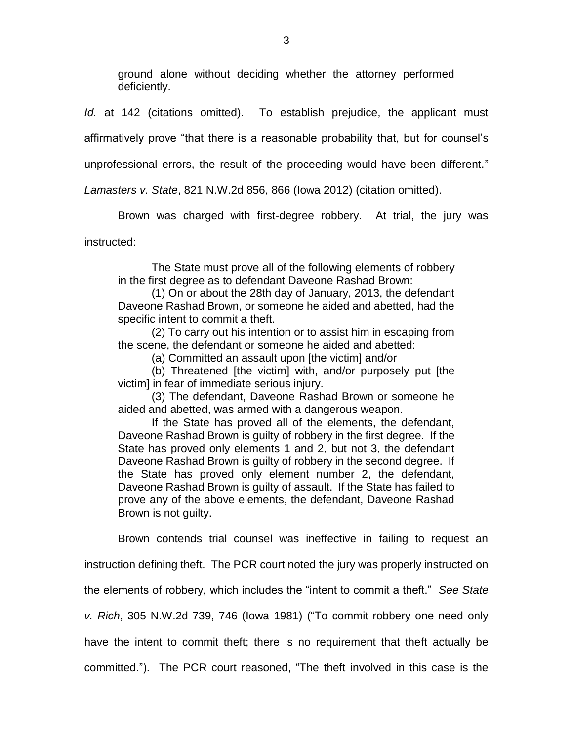ground alone without deciding whether the attorney performed deficiently.

*Id.* at 142 (citations omitted). To establish prejudice, the applicant must

affirmatively prove "that there is a reasonable probability that, but for counsel's

unprofessional errors, the result of the proceeding would have been different."

*Lamasters v. State*, 821 N.W.2d 856, 866 (Iowa 2012) (citation omitted).

Brown was charged with first-degree robbery. At trial, the jury was

instructed:

The State must prove all of the following elements of robbery in the first degree as to defendant Daveone Rashad Brown:

(1) On or about the 28th day of January, 2013, the defendant Daveone Rashad Brown, or someone he aided and abetted, had the specific intent to commit a theft.

(2) To carry out his intention or to assist him in escaping from the scene, the defendant or someone he aided and abetted:

(a) Committed an assault upon [the victim] and/or

(b) Threatened [the victim] with, and/or purposely put [the victim] in fear of immediate serious injury.

(3) The defendant, Daveone Rashad Brown or someone he aided and abetted, was armed with a dangerous weapon.

If the State has proved all of the elements, the defendant, Daveone Rashad Brown is guilty of robbery in the first degree. If the State has proved only elements 1 and 2, but not 3, the defendant Daveone Rashad Brown is guilty of robbery in the second degree. If the State has proved only element number 2, the defendant, Daveone Rashad Brown is guilty of assault. If the State has failed to prove any of the above elements, the defendant, Daveone Rashad Brown is not guilty.

Brown contends trial counsel was ineffective in failing to request an instruction defining theft. The PCR court noted the jury was properly instructed on

the elements of robbery, which includes the "intent to commit a theft." *See State* 

*v. Rich*, 305 N.W.2d 739, 746 (Iowa 1981) ("To commit robbery one need only

have the intent to commit theft; there is no requirement that theft actually be

committed."). The PCR court reasoned, "The theft involved in this case is the